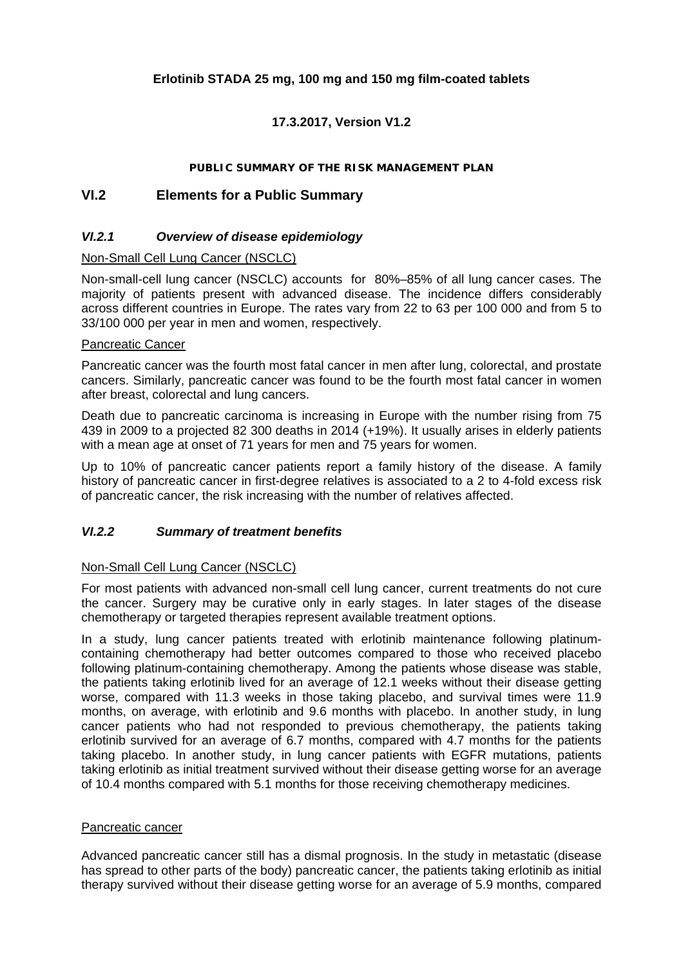#### **Erlotinib STADA 25 mg, 100 mg and 150 mg film-coated tablets**

## **17.3.2017, Version V1.2**

#### **PUBLIC SUMMARY OF THE RISK MANAGEMENT PLAN**

#### **VI.2 Elements for a Public Summary**

#### *VI.2.1 Overview of disease epidemiology*

#### Non-Small Cell Lung Cancer (NSCLC)

Non-small-cell lung cancer (NSCLC) accounts for 80%–85% of all lung cancer cases. The majority of patients present with advanced disease. The incidence differs considerably across different countries in Europe. The rates vary from 22 to 63 per 100 000 and from 5 to 33/100 000 per year in men and women, respectively.

#### Pancreatic Cancer

Pancreatic cancer was the fourth most fatal cancer in men after lung, colorectal, and prostate cancers. Similarly, pancreatic cancer was found to be the fourth most fatal cancer in women after breast, colorectal and lung cancers.

Death due to pancreatic carcinoma is increasing in Europe with the number rising from 75 439 in 2009 to a projected 82 300 deaths in 2014 (+19%). It usually arises in elderly patients with a mean age at onset of 71 years for men and 75 years for women.

Up to 10% of pancreatic cancer patients report a family history of the disease. A family history of pancreatic cancer in first-degree relatives is associated to a 2 to 4-fold excess risk of pancreatic cancer, the risk increasing with the number of relatives affected.

#### *VI.2.2 Summary of treatment benefits*

#### Non-Small Cell Lung Cancer (NSCLC)

For most patients with advanced non-small cell lung cancer, current treatments do not cure the cancer. Surgery may be curative only in early stages. In later stages of the disease chemotherapy or targeted therapies represent available treatment options.

In a study, lung cancer patients treated with erlotinib maintenance following platinumcontaining chemotherapy had better outcomes compared to those who received placebo following platinum-containing chemotherapy. Among the patients whose disease was stable, the patients taking erlotinib lived for an average of 12.1 weeks without their disease getting worse, compared with 11.3 weeks in those taking placebo, and survival times were 11.9 months, on average, with erlotinib and 9.6 months with placebo. In another study, in lung cancer patients who had not responded to previous chemotherapy, the patients taking erlotinib survived for an average of 6.7 months, compared with 4.7 months for the patients taking placebo. In another study, in lung cancer patients with EGFR mutations, patients taking erlotinib as initial treatment survived without their disease getting worse for an average of 10.4 months compared with 5.1 months for those receiving chemotherapy medicines.

#### Pancreatic cancer

Advanced pancreatic cancer still has a dismal prognosis. In the study in metastatic (disease has spread to other parts of the body) pancreatic cancer, the patients taking erlotinib as initial therapy survived without their disease getting worse for an average of 5.9 months, compared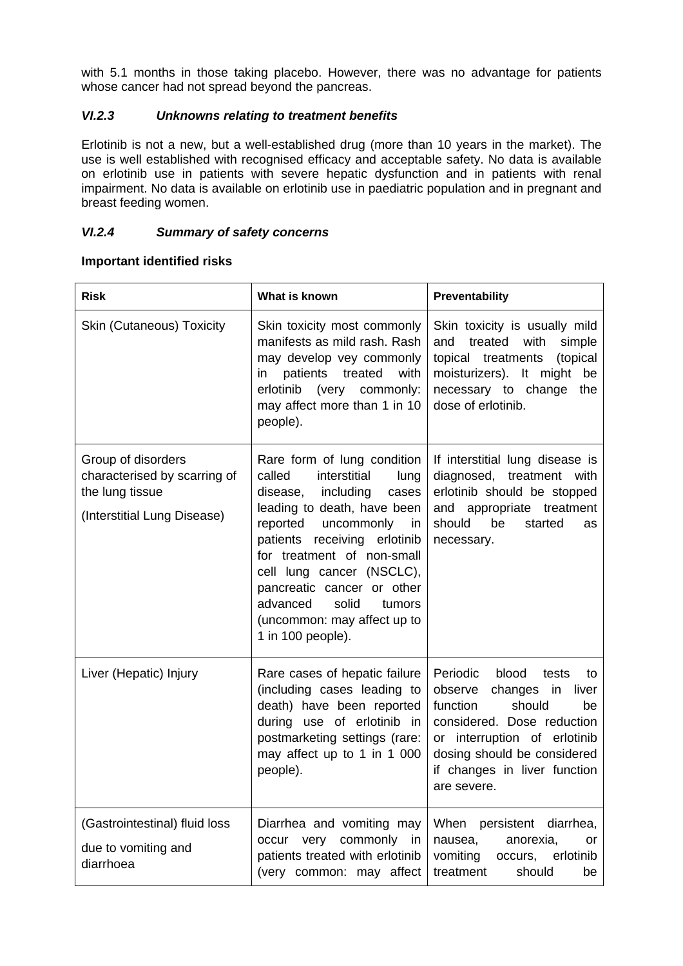with 5.1 months in those taking placebo. However, there was no advantage for patients whose cancer had not spread beyond the pancreas.

#### *VI.2.3 Unknowns relating to treatment benefits*

Erlotinib is not a new, but a well-established drug (more than 10 years in the market). The use is well established with recognised efficacy and acceptable safety. No data is available on erlotinib use in patients with severe hepatic dysfunction and in patients with renal impairment. No data is available on erlotinib use in paediatric population and in pregnant and breast feeding women.

#### *VI.2.4 Summary of safety concerns*

#### **Important identified risks**

| <b>Risk</b>                                                                                          | What is known                                                                                                                                                                                                                                                                                                                                                           | Preventability                                                                                                                                                                                                                             |
|------------------------------------------------------------------------------------------------------|-------------------------------------------------------------------------------------------------------------------------------------------------------------------------------------------------------------------------------------------------------------------------------------------------------------------------------------------------------------------------|--------------------------------------------------------------------------------------------------------------------------------------------------------------------------------------------------------------------------------------------|
| <b>Skin (Cutaneous) Toxicity</b>                                                                     | Skin toxicity most commonly<br>manifests as mild rash. Rash<br>may develop vey commonly<br>patients<br>treated<br>with<br>in<br>erlotinib (very commonly:<br>may affect more than 1 in 10<br>people).                                                                                                                                                                   | Skin toxicity is usually mild<br>treated<br>with<br>simple<br>and<br>topical treatments<br>(topical<br>moisturizers). It might<br>be<br>necessary to change<br>the<br>dose of erlotinib.                                                   |
| Group of disorders<br>characterised by scarring of<br>the lung tissue<br>(Interstitial Lung Disease) | Rare form of lung condition<br>interstitial<br>called<br>lung<br>including<br>disease,<br>cases<br>leading to death, have been<br>reported uncommonly<br>in<br>patients receiving erlotinib<br>for treatment of non-small<br>cell lung cancer (NSCLC),<br>pancreatic cancer or other<br>solid<br>advanced<br>tumors<br>(uncommon: may affect up to<br>1 in 100 people). | If interstitial lung disease is<br>diagnosed, treatment with<br>erlotinib should be stopped<br>and appropriate treatment<br>should<br>be<br>started<br>as<br>necessary.                                                                    |
| Liver (Hepatic) Injury                                                                               | Rare cases of hepatic failure<br>(including cases leading to<br>death) have been reported<br>during use of erlotinib in<br>postmarketing settings (rare:<br>may affect up to 1 in 1 000<br>people).                                                                                                                                                                     | Periodic blood<br>tests<br>to<br>observe<br>changes<br>in<br>liver<br>function<br>should<br>be<br>considered. Dose reduction<br>or interruption of erlotinib<br>dosing should be considered<br>if changes in liver function<br>are severe. |
| (Gastrointestinal) fluid loss<br>due to vomiting and<br>diarrhoea                                    | Diarrhea and vomiting may<br>occur very commonly in<br>patients treated with erlotinib<br>(very common: may affect                                                                                                                                                                                                                                                      | When persistent diarrhea,<br>anorexia,<br>nausea,<br>or<br>vomiting<br>erlotinib<br>occurs,<br>should<br>treatment<br>be                                                                                                                   |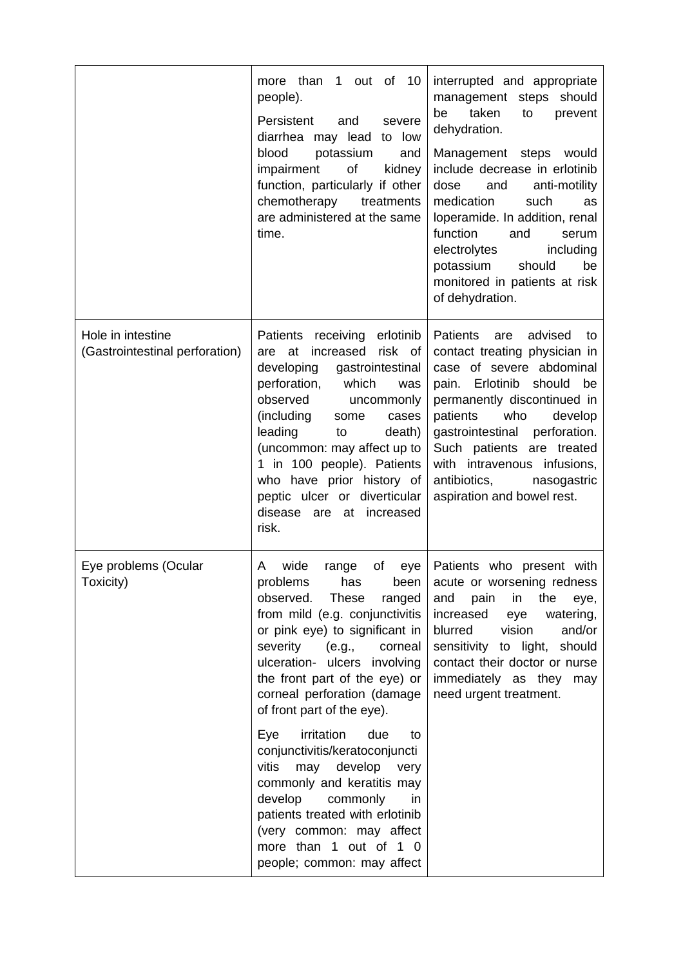|                                                     | more than<br>out of<br>10<br>1<br>people).<br>Persistent<br>and<br>severe<br>diarrhea may lead to low<br>blood<br>potassium<br>and<br>impairment<br>of<br>kidney<br>function, particularly if other<br>chemotherapy<br>treatments<br>are administered at the same<br>time.                                                                                                                       | interrupted and appropriate<br>management steps should<br>taken<br>be<br>to<br>prevent<br>dehydration.<br>Management steps would<br>include decrease in erlotinib<br>dose<br>and<br>anti-motility<br>medication<br>such<br>as<br>loperamide. In addition, renal<br>function<br>and<br>serum<br>electrolytes<br>including<br>potassium<br>should<br>be<br>monitored in patients at risk<br>of dehydration. |
|-----------------------------------------------------|--------------------------------------------------------------------------------------------------------------------------------------------------------------------------------------------------------------------------------------------------------------------------------------------------------------------------------------------------------------------------------------------------|-----------------------------------------------------------------------------------------------------------------------------------------------------------------------------------------------------------------------------------------------------------------------------------------------------------------------------------------------------------------------------------------------------------|
| Hole in intestine<br>(Gastrointestinal perforation) | <b>Patients</b><br>receiving erlotinib<br>increased<br>risk of<br>are at<br>developing<br>gastrointestinal<br>perforation,<br>which<br>was<br>observed<br>uncommonly<br>(including<br>cases<br>some<br>leading<br>to<br>death)<br>(uncommon: may affect up to<br>1 in 100 people). Patients<br>who have prior history of<br>peptic ulcer or diverticular<br>disease<br>are at increased<br>risk. | <b>Patients</b><br>advised<br>are<br>to<br>contact treating physician in<br>case of severe abdominal<br>pain. Erlotinib<br>should<br>be<br>permanently discontinued in<br>patients<br>who<br>develop<br>perforation.<br>gastrointestinal<br>Such patients are treated<br>with intravenous infusions,<br>antibiotics,<br>nasogastric<br>aspiration and bowel rest.                                         |
| Eye problems (Ocular<br>Toxicity)                   | wide<br>A<br>οf<br>range<br>eye<br>problems<br>has<br>been<br>observed.<br><b>These</b><br>ranged<br>from mild (e.g. conjunctivitis<br>or pink eye) to significant in<br>severity (e.g.,<br>corneal<br>ulceration- ulcers involving<br>the front part of the eye) or<br>corneal perforation (damage<br>of front part of the eye).                                                                | Patients who present with<br>acute or worsening redness<br>and<br>pain<br>in<br>the<br>eye,<br>increased<br>watering,<br>eye<br>blurred<br>vision<br>and/or<br>sensitivity to light, should<br>contact their doctor or nurse<br>immediately as they may<br>need urgent treatment.                                                                                                                         |
|                                                     | irritation<br>Eye<br>due<br>to<br>conjunctivitis/keratoconjuncti<br>vitis<br>may develop<br>very<br>commonly and keratitis may<br>develop<br>commonly<br>in<br>patients treated with erlotinib<br>(very common: may affect<br>more than 1 out of 1 0<br>people; common: may affect                                                                                                               |                                                                                                                                                                                                                                                                                                                                                                                                           |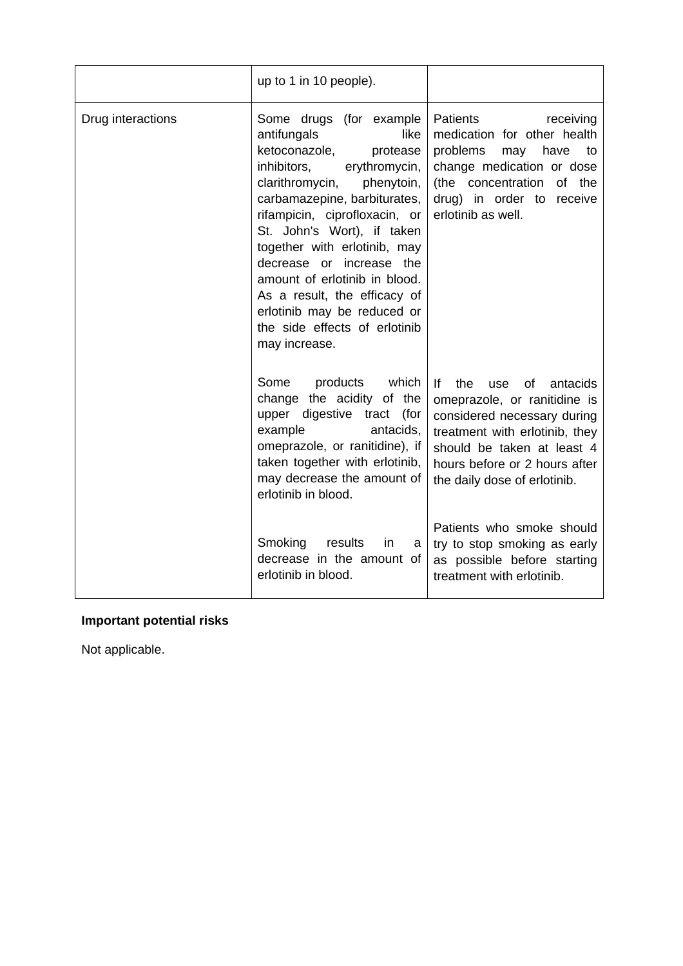|                   | up to 1 in 10 people).                                                                                                                                                                                                                                                                                                                                                                                                                                 |                                                                                                                                                                                                                                                                                           |
|-------------------|--------------------------------------------------------------------------------------------------------------------------------------------------------------------------------------------------------------------------------------------------------------------------------------------------------------------------------------------------------------------------------------------------------------------------------------------------------|-------------------------------------------------------------------------------------------------------------------------------------------------------------------------------------------------------------------------------------------------------------------------------------------|
| Drug interactions | Some drugs (for example<br>antifungals<br>like<br>ketoconazole,<br>protease<br>inhibitors,<br>erythromycin,<br>clarithromycin, phenytoin,<br>carbamazepine, barbiturates,<br>rifampicin, ciprofloxacin, or<br>St. John's Wort), if taken<br>together with erlotinib, may<br>decrease or increase the<br>amount of erlotinib in blood.<br>As a result, the efficacy of<br>erlotinib may be reduced or<br>the side effects of erlotinib<br>may increase. | Patients<br>receiving<br>medication for other health<br>problems<br>may<br>have<br>to<br>change medication or dose<br>(the concentration<br>of the<br>drug) in order to receive<br>erlotinib as well.                                                                                     |
|                   | Some<br>products which<br>change the acidity of the<br>upper digestive tract (for<br>example<br>antacids,<br>omeprazole, or ranitidine), if<br>taken together with erlotinib,<br>may decrease the amount of<br>erlotinib in blood.<br>Smoking<br>results<br><i>in</i><br>a                                                                                                                                                                             | lf<br>the use of<br>antacids<br>omeprazole, or ranitidine is<br>considered necessary during<br>treatment with erlotinib, they<br>should be taken at least 4<br>hours before or 2 hours after<br>the daily dose of erlotinib.<br>Patients who smoke should<br>try to stop smoking as early |
|                   | decrease in the amount of<br>erlotinib in blood.                                                                                                                                                                                                                                                                                                                                                                                                       | as possible before starting<br>treatment with erlotinib.                                                                                                                                                                                                                                  |

## **Important potential risks**

Not applicable.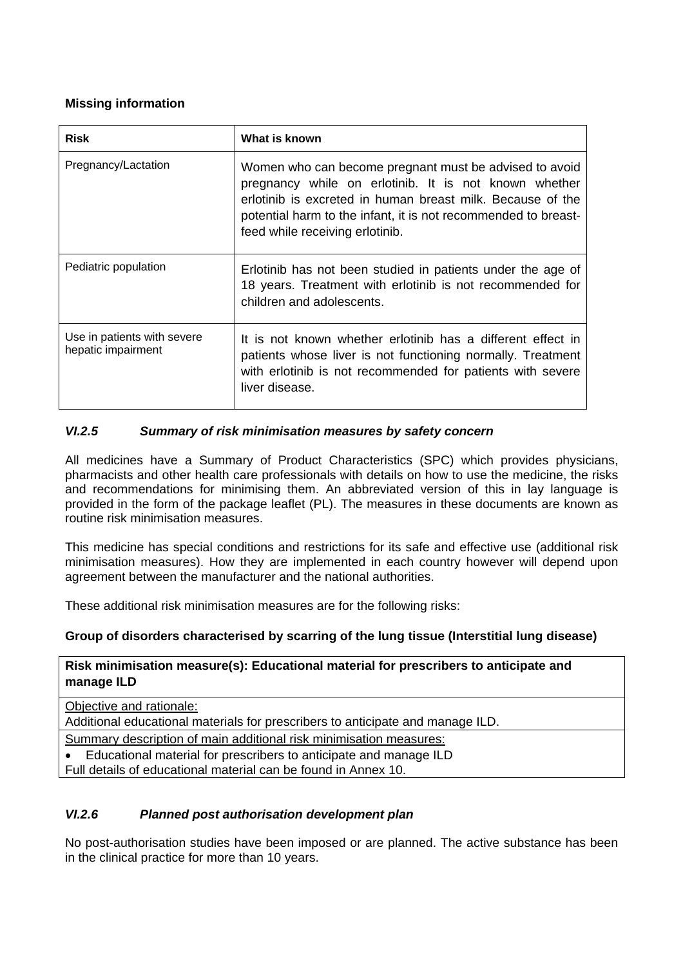## **Missing information**

| <b>Risk</b>                                       | What is known                                                                                                                                                                                                                                                                      |
|---------------------------------------------------|------------------------------------------------------------------------------------------------------------------------------------------------------------------------------------------------------------------------------------------------------------------------------------|
| Pregnancy/Lactation                               | Women who can become pregnant must be advised to avoid<br>pregnancy while on erlotinib. It is not known whether<br>erlotinib is excreted in human breast milk. Because of the<br>potential harm to the infant, it is not recommended to breast-<br>feed while receiving erlotinib. |
| Pediatric population                              | Erlotinib has not been studied in patients under the age of<br>18 years. Treatment with erlotinib is not recommended for<br>children and adolescents.                                                                                                                              |
| Use in patients with severe<br>hepatic impairment | It is not known whether erlotinib has a different effect in<br>patients whose liver is not functioning normally. Treatment<br>with erlotinib is not recommended for patients with severe<br>liver disease.                                                                         |

## *VI.2.5 Summary of risk minimisation measures by safety concern*

All medicines have a Summary of Product Characteristics (SPC) which provides physicians, pharmacists and other health care professionals with details on how to use the medicine, the risks and recommendations for minimising them. An abbreviated version of this in lay language is provided in the form of the package leaflet (PL). The measures in these documents are known as routine risk minimisation measures.

This medicine has special conditions and restrictions for its safe and effective use (additional risk minimisation measures). How they are implemented in each country however will depend upon agreement between the manufacturer and the national authorities.

These additional risk minimisation measures are for the following risks:

## **Group of disorders characterised by scarring of the lung tissue (Interstitial lung disease)**

#### **Risk minimisation measure(s): Educational material for prescribers to anticipate and manage ILD**

Objective and rationale:

Additional educational materials for prescribers to anticipate and manage ILD.

Summary description of main additional risk minimisation measures:

Educational material for prescribers to anticipate and manage ILD

Full details of educational material can be found in Annex 10.

## *VI.2.6 Planned post authorisation development plan*

No post-authorisation studies have been imposed or are planned. The active substance has been in the clinical practice for more than 10 years.